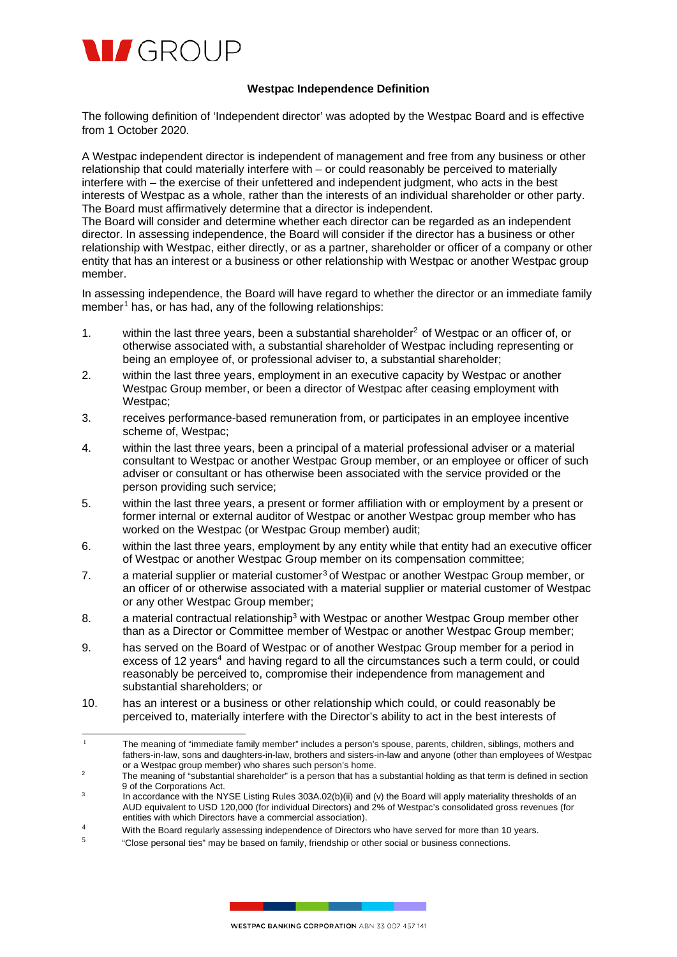

## **Westpac Independence Definition**

The following definition of 'Independent director' was adopted by the Westpac Board and is effective from 1 October 2020.

A Westpac independent director is independent of management and free from any business or other relationship that could materially interfere with – or could reasonably be perceived to materially interfere with – the exercise of their unfettered and independent judgment, who acts in the best interests of Westpac as a whole, rather than the interests of an individual shareholder or other party. The Board must affirmatively determine that a director is independent.

The Board will consider and determine whether each director can be regarded as an independent director. In assessing independence, the Board will consider if the director has a business or other relationship with Westpac, either directly, or as a partner, shareholder or officer of a company or other entity that has an interest or a business or other relationship with Westpac or another Westpac group member.

In assessing independence, the Board will have regard to whether the director or an immediate family member<sup>[1](#page-0-0)</sup> has, or has had, any of the following relationships:

- [1](#page-0-1). within the last three years, been a substantial shareholder<sup>2</sup> of Westpac or an officer of, or otherwise associated with, a substantial shareholder of Westpac including representing or being an employee of, or professional adviser to, a substantial shareholder;
- 2. within the last three years, employment in an executive capacity by Westpac or another Westpac Group member, or been a director of Westpac after ceasing employment with Westpac;
- 3. receives performance-based remuneration from, or participates in an employee incentive scheme of, Westpac;
- 4. within the last three years, been a principal of a material professional adviser or a material consultant to Westpac or another Westpac Group member, or an employee or officer of such adviser or consultant or has otherwise been associated with the service provided or the person providing such service;
- 5. within the last three years, a present or former affiliation with or employment by a present or former internal or external auditor of Westpac or another Westpac group member who has worked on the Westpac (or Westpac Group member) audit;
- 6. within the last three years, employment by any entity while that entity had an executive officer of Westpac or another Westpac Group member on its compensation committee;
- 7. a material supplier or material customer<sup>3</sup> of Westpac or another Westpac Group member, or an officer of or otherwise associated with a material supplier or material customer of Westpac or any other Westpac Group member;
- 8. a material contractual relationship<sup>3</sup> with Westpac or another Westpac Group member other than as a Director or Committee member of Westpac or another Westpac Group member;
- 9. has served on the Board of Westpac or of another Westpac Group member for a period in excess of 12 years<sup>4</sup> and having regard to all the circumstances such a term could, or could reasonably be perceived to, compromise their independence from management and substantial shareholders; or
- 10. has an interest or a business or other relationship which could, or could reasonably be perceived to, materially interfere with the Director's ability to act in the best interests of

- white Board regularly assessing independence of Directors who have served for more than 10 years.<br>With the Board regularly assessing independence of Directors who have served for more than 10 years.
- <span id="page-0-3"></span><span id="page-0-2"></span><sup>5</sup> "Close personal ties" may be based on family, friendship or other social or business connections.

<span id="page-0-0"></span><sup>&</sup>lt;sup>1</sup> The meaning of "immediate family member" includes a person's spouse, parents, children, siblings, mothers and fathers-in-law, sons and daughters-in-law, brothers and sisters-in-law and anyone (other than employees of Westpac or a Westpac group member) who shares such person's home.

<span id="page-0-1"></span><sup>&</sup>lt;sup>2</sup> The meaning of "substantial shareholder" is a person that has a substantial holding as that term is defined in section 9 of the Corporations Act.

In accordance with the NYSE Listing Rules 303A.02(b)(ii) and (v) the Board will apply materiality thresholds of an AUD equivalent to USD 120,000 (for individual Directors) and 2% of Westpac's consolidated gross revenues (for entities with which Directors have a commercial association).